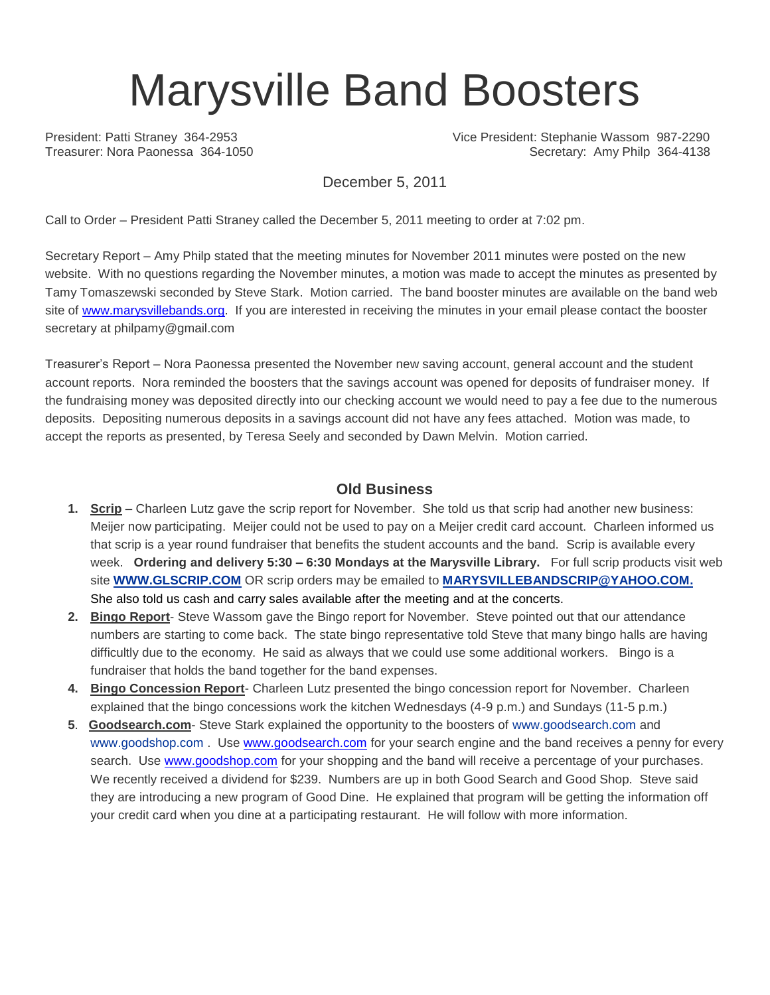# Marysville Band Boosters

President: Patti Straney 364-2953 Vice President: Stephanie Wassom 987-2290 Treasurer: Nora Paonessa 364-1050 Secretary: Amy Philp 364-4138

December 5, 2011

Call to Order – President Patti Straney called the December 5, 2011 meeting to order at 7:02 pm.

Secretary Report – Amy Philp stated that the meeting minutes for November 2011 minutes were posted on the new website. With no questions regarding the November minutes, a motion was made to accept the minutes as presented by Tamy Tomaszewski seconded by Steve Stark. Motion carried. The band booster minutes are available on the band web site of [www.marysvillebands.org.](http://www.marysvillebands.org/) If you are interested in receiving the minutes in your email please contact the booster secretary at philpamy@gmail.com

Treasurer's Report – Nora Paonessa presented the November new saving account, general account and the student account reports. Nora reminded the boosters that the savings account was opened for deposits of fundraiser money. If the fundraising money was deposited directly into our checking account we would need to pay a fee due to the numerous deposits. Depositing numerous deposits in a savings account did not have any fees attached. Motion was made, to accept the reports as presented, by Teresa Seely and seconded by Dawn Melvin. Motion carried.

### **Old Business**

- **1. Scrip –** Charleen Lutz gave the scrip report for November. She told us that scrip had another new business: Meijer now participating. Meijer could not be used to pay on a Meijer credit card account. Charleen informed us that scrip is a year round fundraiser that benefits the student accounts and the band. Scrip is available every week. **Ordering and delivery 5:30 – 6:30 Mondays at the Marysville Library.** For full scrip products visit web site **[WWW.GLSCRIP.COM](http://www.glscrip.com/%20/%20_blank)** OR scrip orders may be emailed to **[MARYSVILLEBANDSCRIP@YAHOO.COM.](http://us.f838.mail.yahoo.com/ym/Compose?To=MARYSVILLEBANDSCRIP@YAHOO.COM%20/%20_blank)** She also told us cash and carry sales available after the meeting and at the concerts.
- **2. Bingo Report** Steve Wassom gave the Bingo report for November. Steve pointed out that our attendance numbers are starting to come back. The state bingo representative told Steve that many bingo halls are having difficultly due to the economy. He said as always that we could use some additional workers. Bingo is a fundraiser that holds the band together for the band expenses.
- **4. Bingo Concession Report** Charleen Lutz presented the bingo concession report for November. Charleen explained that the bingo concessions work the kitchen Wednesdays (4-9 p.m.) and Sundays (11-5 p.m.)
- **5**. **Goodsearch.com** Steve Stark explained the opportunity to the boosters of [www.goodsearch.com](http://www.goodsearch.com/) and [www.goodshop.com](http://www.goodshop.com/) . Use [www.goodsearch.com](http://www.goodsearch.com/) for your search engine and the band receives a penny for every search. Use [www.goodshop.com](http://www.goodshop.com/) for your shopping and the band will receive a percentage of your purchases. We recently received a dividend for \$239. Numbers are up in both Good Search and Good Shop. Steve said they are introducing a new program of Good Dine. He explained that program will be getting the information off your credit card when you dine at a participating restaurant. He will follow with more information.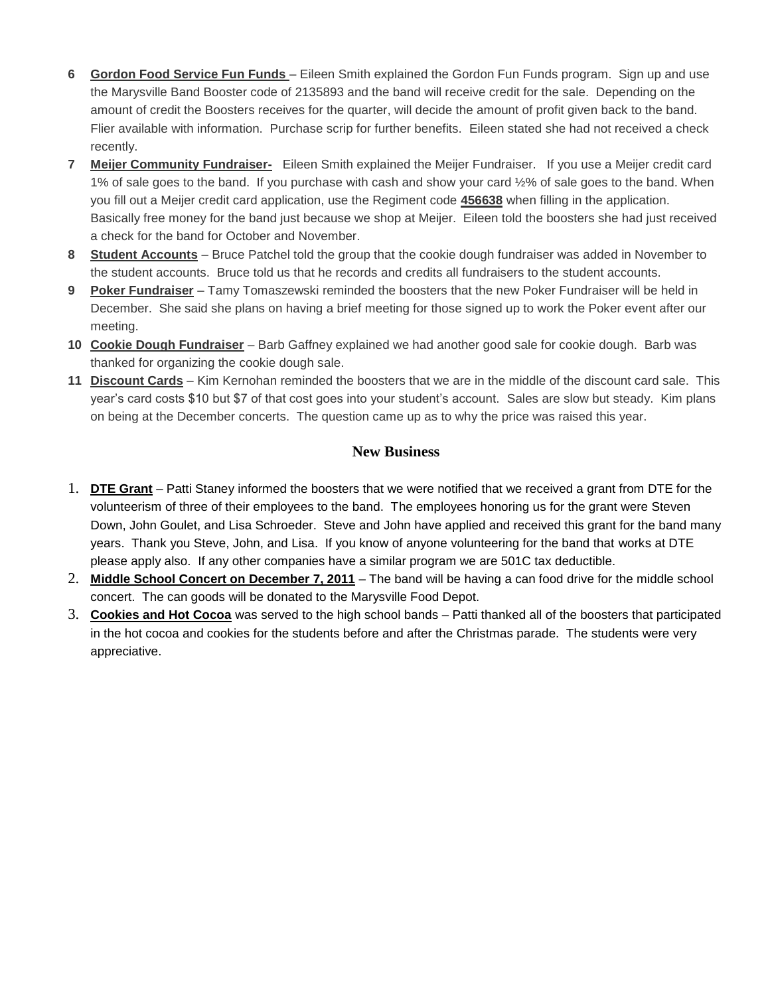- **6 Gordon Food Service Fun Funds**  Eileen Smith explained the Gordon Fun Funds program. Sign up and use the Marysville Band Booster code of 2135893 and the band will receive credit for the sale. Depending on the amount of credit the Boosters receives for the quarter, will decide the amount of profit given back to the band. Flier available with information. Purchase scrip for further benefits. Eileen stated she had not received a check recently.
- **7 Meijer Community Fundraiser-** Eileen Smith explained the Meijer Fundraiser. If you use a Meijer credit card 1% of sale goes to the band. If you purchase with cash and show your card ½% of sale goes to the band. When you fill out a Meijer credit card application, use the Regiment code **456638** when filling in the application. Basically free money for the band just because we shop at Meijer. Eileen told the boosters she had just received a check for the band for October and November.
- **8 Student Accounts** Bruce Patchel told the group that the cookie dough fundraiser was added in November to the student accounts. Bruce told us that he records and credits all fundraisers to the student accounts.
- **9 Poker Fundraiser** Tamy Tomaszewski reminded the boosters that the new Poker Fundraiser will be held in December. She said she plans on having a brief meeting for those signed up to work the Poker event after our meeting.
- **10 Cookie Dough Fundraiser** Barb Gaffney explained we had another good sale for cookie dough. Barb was thanked for organizing the cookie dough sale.
- **11 Discount Cards** Kim Kernohan reminded the boosters that we are in the middle of the discount card sale. This year's card costs \$10 but \$7 of that cost goes into your student's account. Sales are slow but steady. Kim plans on being at the December concerts. The question came up as to why the price was raised this year.

## **New Business**

- 1. **DTE Grant** Patti Staney informed the boosters that we were notified that we received a grant from DTE for the volunteerism of three of their employees to the band. The employees honoring us for the grant were Steven Down, John Goulet, and Lisa Schroeder. Steve and John have applied and received this grant for the band many years. Thank you Steve, John, and Lisa. If you know of anyone volunteering for the band that works at DTE please apply also. If any other companies have a similar program we are 501C tax deductible.
- 2. **Middle School Concert on December 7, 2011** The band will be having a can food drive for the middle school concert. The can goods will be donated to the Marysville Food Depot.
- 3. **Cookies and Hot Cocoa** was served to the high school bands Patti thanked all of the boosters that participated in the hot cocoa and cookies for the students before and after the Christmas parade. The students were very appreciative.